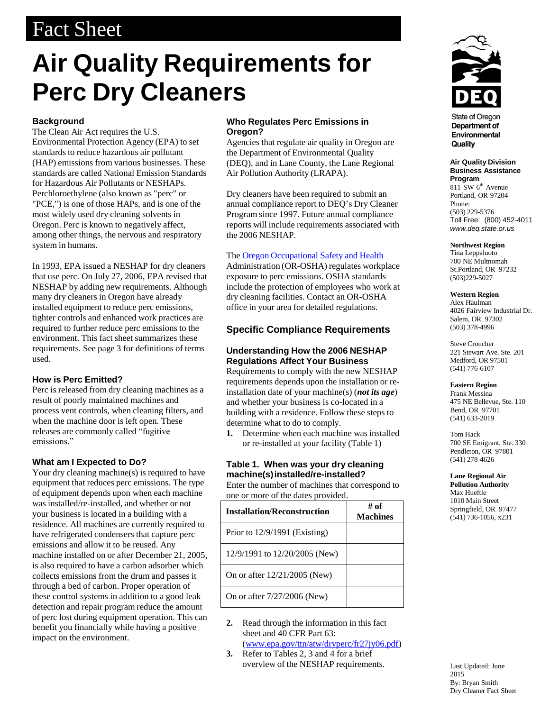## Fact Sheet

# **Air Quality Requirements for Perc Dry Cleaners**

#### **Background**

The Clean Air Act requires the U.S. Environmental Protection Agency (EPA) to set standards to reduce hazardous air pollutant (HAP) emissions from various businesses. These standards are called National Emission Standards for Hazardous Air Pollutants or NESHAPs. Perchloroethylene (also known as "perc" or "PCE,") is one of those HAPs, and is one of the most widely used dry cleaning solvents in Oregon. Perc is known to negatively affect, among other things, the nervous and respiratory system in humans.

In 1993, EPA issued a NESHAP for dry cleaners that use perc. On July 27, 2006, EPA revised that NESHAP by adding new requirements. Although many dry cleaners in Oregon have already installed equipment to reduce perc emissions, tighter controls and enhanced work practices are required to further reduce perc emissions to the environment. This fact sheet summarizes these requirements. See page 3 for definitions of terms used.

#### **How is Perc Emitted?**

Perc is released from dry cleaning machines as a result of poorly maintained machines and process vent controls, when cleaning filters, and when the machine door is left open. These releases are commonly called "fugitive emissions."

#### **What am I Expected to Do?**

Your dry cleaning machine(s) is required to have equipment that reduces perc emissions. The type of equipment depends upon when each machine was installed/re-installed, and whether or not your business is located in a building with a residence. All machines are currently required to have refrigerated condensers that capture perc emissions and allow it to be reused. Any machine installed on or after December 21, 2005, is also required to have a carbon adsorber which collects emissions from the drum and passes it through a bed of carbon. Proper operation of these control systems in addition to a good leak detection and repair program reduce the amount of perc lost during equipment operation. This can benefit you financially while having a positive impact on the environment.

#### **Who Regulates Perc Emissions in Oregon?**

Agencies that regulate air quality in Oregon are the Department of Environmental Quality (DEQ), and in Lane County, the Lane Regional Air Pollution Authority (LRAPA).

Dry cleaners have been required to submit an annual compliance report to DEQ's Dry Cleaner Program since 1997. Future annual compliance reports will include requirements associated with the 2006 NESHAP.

#### The Oregon [Occupational](http://www.orosha.org/) Safety and Health

Administration (OR-OSHA) regulates workplace exposure to perc emissions. OSHA standards include the protection of employees who work at dry cleaning facilities. Contact an OR-OSHA office in your area for detailed regulations.

#### **Specific Compliance Requirements**

#### **Understanding How the 2006 NESHAP Regulations Affect Your Business**

Requirements to comply with the new NESHAP requirements depends upon the installation or reinstallation date of your machine(s) (*not its age*) and whether your business is co-located in a building with a residence. Follow these steps to determine what to do to comply.

**1.** Determine when each machine was installed or re-installed at your facility (Table 1)

#### **Table 1. When was your dry cleaning machine(s)installed/re-installed?**

Enter the number of machines that correspond to one or more of the dates provided.

| <b>Installation/Reconstruction</b> | # of<br><b>Machines</b> |
|------------------------------------|-------------------------|
| Prior to 12/9/1991 (Existing)      |                         |
| 12/9/1991 to 12/20/2005 (New)      |                         |
| On or after $12/21/2005$ (New)     |                         |
| On or after 7/27/2006 (New)        |                         |

- **2.** Read through the information in this fact sheet and 40 CFR Part 63: [\(www.epa.gov/ttn/atw/dryperc/fr27jy06.pdf\)](http://www.epa.gov/ttn/atw/dryperc/fr27jy06.pdf))
- **3.** Refer to Tables 2, 3 and 4 for a brief overview of the NESHAP requirements.



**State of Oregon** Department of Environmental Quality

**Air Quality Division Business Assistance Program** 811 SW 6<sup>th</sup> Avenue

Portland, OR 97204 Phone: (503) 229-5376 Toll Free: (800) 452-4011 *[www.deq.state.or.us](http://www.deq.state.or.us/)*

**Northwest Region**

Tina Leppaluoto 700 NE Multnomah St.Portland, OR 97232 (503)229-5027

#### **Western Region**

Alex Haulman 4026 Fairview Industrial Dr. Salem, OR 97302 (503) 378-4996

Steve Croucher 221 Stewart Ave. Ste. 201 Medford, OR 97501 (541) 776-6107

#### **Eastern Region**

Frank Messina 475 NE Bellevue, Ste. 110 Bend, OR 97701 (541) 633-2019

Tom Hack 700 SE Emigrant, Ste. 330 Pendleton, OR 97801 (541) 278-4626

**Lane Regional Air Pollution Authority** Max Hueftle 1010 Main Street Springfield, OR 97477 (541) 736-1056, x231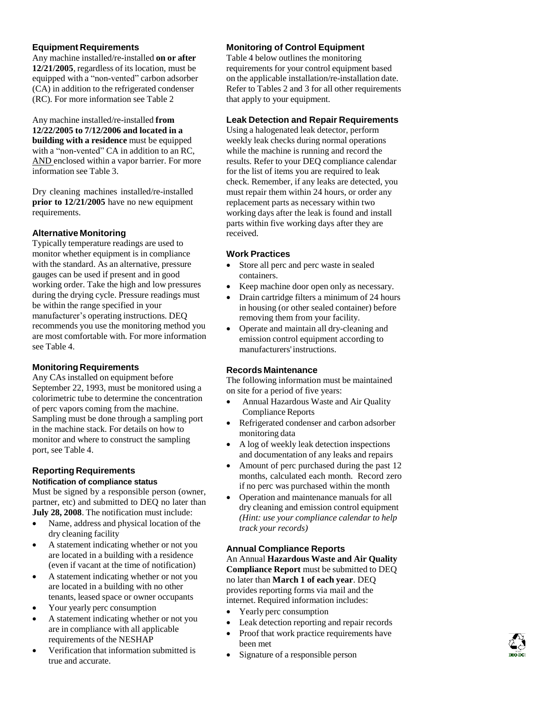#### **Equipment Requirements**

Any machine installed/re-installed **on or after 12/21/2005**, regardless of its location, must be equipped with a "non-vented" carbon adsorber (CA) in addition to the refrigerated condenser (RC). For more information see Table 2

Any machine installed/re-installed **from 12/22/2005 to 7/12/2006 and located in a building with a residence** must be equipped with a "non-vented" CA in addition to an RC, AND enclosed within a vapor barrier. For more information see Table 3.

Dry cleaning machines installed/re-installed **prior to 12/21/2005** have no new equipment requirements.

#### **Alternative Monitoring**

Typically temperature readings are used to monitor whether equipment is in compliance with the standard. As an alternative, pressure gauges can be used if present and in good working order. Take the high and low pressures during the drying cycle. Pressure readings must be within the range specified in your manufacturer's operating instructions. DEQ recommends you use the monitoring method you are most comfortable with. For more information see Table 4.

#### **Monitoring Requirements**

Any CAs installed on equipment before September 22, 1993, must be monitored using a colorimetric tube to determine the concentration of perc vapors coming from the machine. Sampling must be done through a sampling port in the machine stack. For details on how to monitor and where to construct the sampling port, see Table 4.

### **Reporting Requirements**

#### **Notification of compliance status**

Must be signed by a responsible person (owner, partner, etc) and submitted to DEQ no later than **July 28, 2008**. The notification must include:

- Name, address and physical location of the dry cleaning facility
- A statement indicating whether or not you are located in a building with a residence (even if vacant at the time of notification)
- A statement indicating whether or not you are located in a building with no other tenants, leased space or owner occupants
- Your yearly perc consumption
- A statement indicating whether or not you are in compliance with all applicable requirements of the NESHAP
- Verification that information submitted is true and accurate.

#### **Monitoring of Control Equipment**

Table 4 below outlines the monitoring requirements for your control equipment based on the applicable installation/re-installation date. Refer to Tables 2 and 3 for all other requirements that apply to your equipment.

#### **Leak Detection and Repair Requirements**

Using a halogenated leak detector, perform weekly leak checks during normal operations while the machine is running and record the results. Refer to your DEQ compliance calendar for the list of items you are required to leak check. Remember, if any leaks are detected, you must repair them within 24 hours, or order any replacement parts as necessary within two working days after the leak is found and install parts within five working days after they are received.

#### **Work Practices**

- Store all perc and perc waste in sealed containers.
- Keep machine door open only as necessary.
- Drain cartridge filters a minimum of 24 hours in housing (or other sealed container) before removing them from your facility.
- Operate and maintain all dry-cleaning and emission control equipment according to manufacturers'instructions.

#### **Records Maintenance**

The following information must be maintained on site for a period of five years:

- Annual Hazardous Waste and Air Quality Compliance Reports
- Refrigerated condenser and carbon adsorber monitoring data
- A log of weekly leak detection inspections and documentation of any leaks and repairs
- Amount of perc purchased during the past 12 months, calculated each month. Record zero if no perc was purchased within the month
- Operation and maintenance manuals for all dry cleaning and emission control equipment *(Hint: use your compliance calendar to help track your records)*

#### **Annual Compliance Reports**

An Annual **Hazardous Waste and Air Quality Compliance Report** must be submitted to DEQ no later than **March 1 of each year**. DEQ provides reporting forms via mail and the internet. Required information includes:

- Yearly perc consumption
- Leak detection reporting and repair records
- Proof that work practice requirements have been met
- Signature of a responsible person

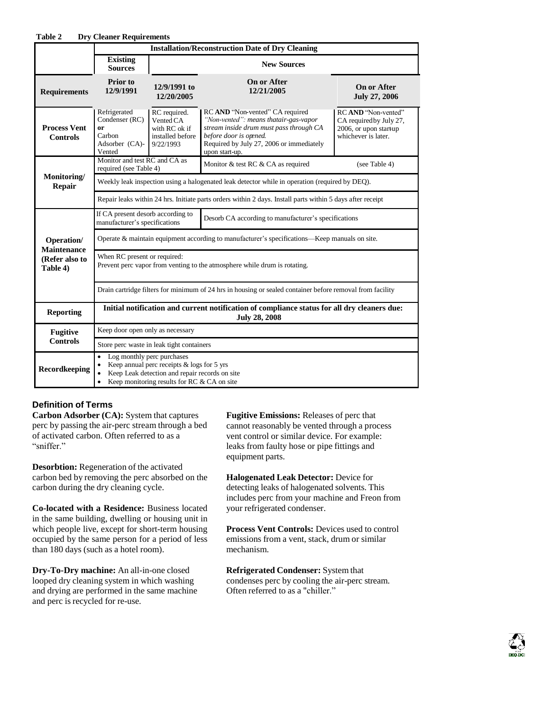| Table 2                                                        | <b>Dry Cleaner Requirements</b>                                                                                                                                                                                               |                                                                             |                                                                                                                                                                                                             |                                                                                                |  |
|----------------------------------------------------------------|-------------------------------------------------------------------------------------------------------------------------------------------------------------------------------------------------------------------------------|-----------------------------------------------------------------------------|-------------------------------------------------------------------------------------------------------------------------------------------------------------------------------------------------------------|------------------------------------------------------------------------------------------------|--|
|                                                                | <b>Installation/Reconstruction Date of Dry Cleaning</b>                                                                                                                                                                       |                                                                             |                                                                                                                                                                                                             |                                                                                                |  |
|                                                                | <b>Existing</b><br><b>Sources</b>                                                                                                                                                                                             | <b>New Sources</b>                                                          |                                                                                                                                                                                                             |                                                                                                |  |
| <b>Requirements</b>                                            | Prior to<br>12/9/1991                                                                                                                                                                                                         | 12/9/1991 to<br>12/20/2005                                                  | <b>On or After</b><br>12/21/2005                                                                                                                                                                            | On or After<br><b>July 27, 2006</b>                                                            |  |
| <b>Process Vent</b><br><b>Controls</b>                         | Refrigerated<br>Condenser (RC)<br>or<br>Carbon<br>Adsorber (CA)-<br>Vented                                                                                                                                                    | RC required.<br>Vented CA<br>with RC ok if<br>installed before<br>9/22/1993 | RC AND "Non-vented" CA required<br>"Non-vented": means thatair-gas-vapor<br>stream inside drum must pass through CA<br>before door is opened.<br>Required by July 27, 2006 or immediately<br>upon start-up. | RC AND "Non-vented"<br>CA required by July 27,<br>2006, or upon startup<br>whichever is later. |  |
| Monitoring/<br><b>Repair</b>                                   | Monitor and test RC and CA as<br>required (see Table 4)                                                                                                                                                                       |                                                                             | Monitor & test RC & CA as required                                                                                                                                                                          | (see Table 4)                                                                                  |  |
|                                                                | Weekly leak inspection using a halogenated leak detector while in operation (required by DEQ).                                                                                                                                |                                                                             |                                                                                                                                                                                                             |                                                                                                |  |
|                                                                | Repair leaks within 24 hrs. Initiate parts orders within 2 days. Install parts within 5 days after receipt                                                                                                                    |                                                                             |                                                                                                                                                                                                             |                                                                                                |  |
| Operation/<br><b>Maintenance</b><br>(Refer also to<br>Table 4) | If CA present desorb according to<br>Desorb CA according to manufacturer's specifications<br>manufacturer's specifications                                                                                                    |                                                                             |                                                                                                                                                                                                             |                                                                                                |  |
|                                                                | Operate & maintain equipment according to manufacturer's specifications—Keep manuals on site.                                                                                                                                 |                                                                             |                                                                                                                                                                                                             |                                                                                                |  |
|                                                                | When RC present or required:<br>Prevent perc vapor from venting to the atmosphere while drum is rotating.                                                                                                                     |                                                                             |                                                                                                                                                                                                             |                                                                                                |  |
|                                                                | Drain cartridge filters for minimum of 24 hrs in housing or sealed container before removal from facility                                                                                                                     |                                                                             |                                                                                                                                                                                                             |                                                                                                |  |
| <b>Reporting</b>                                               | Initial notification and current notification of compliance status for all dry cleaners due:<br><b>July 28, 2008</b>                                                                                                          |                                                                             |                                                                                                                                                                                                             |                                                                                                |  |
| <b>Fugitive</b><br><b>Controls</b>                             | Keep door open only as necessary                                                                                                                                                                                              |                                                                             |                                                                                                                                                                                                             |                                                                                                |  |
|                                                                | Store perc waste in leak tight containers                                                                                                                                                                                     |                                                                             |                                                                                                                                                                                                             |                                                                                                |  |
| Recordkeeping                                                  | Log monthly perc purchases<br>$\bullet$<br>Keep annual perc receipts & logs for 5 yrs<br>$\bullet$<br>Keep Leak detection and repair records on site<br>$\bullet$<br>Keep monitoring results for RC & CA on site<br>$\bullet$ |                                                                             |                                                                                                                                                                                                             |                                                                                                |  |

#### **Definition of Terms**

**Carbon Adsorber (CA):** System that captures perc by passing the air-perc stream through a bed of activated carbon. Often referred to as a "sniffer."

**Desorbtion:** Regeneration of the activated carbon bed by removing the perc absorbed on the carbon during the dry cleaning cycle.

**Co-located with a Residence:** Business located in the same building, dwelling or housing unit in which people live, except for short-term housing occupied by the same person for a period of less than 180 days (such as a hotel room).

**Dry-To-Dry machine:** An all-in-one closed looped dry cleaning system in which washing and drying are performed in the same machine and perc is recycled for re-use.

**Fugitive Emissions:** Releases of perc that cannot reasonably be vented through a process vent control or similar device. For example: leaks from faulty hose or pipe fittings and equipment parts.

**Halogenated Leak Detector:** Device for detecting leaks of halogenated solvents. This includes perc from your machine and Freon from your refrigerated condenser.

**Process Vent Controls:** Devices used to control emissions from a vent, stack, drum or similar mechanism.

**Refrigerated Condenser:** System that condenses perc by cooling the air-perc stream. Often referred to as a "chiller."